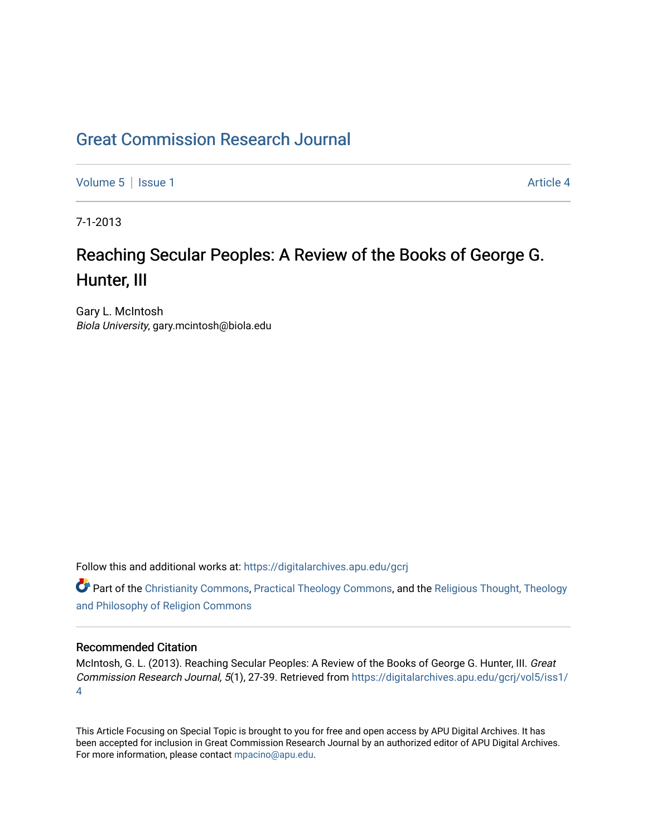## [Great Commission Research Journal](https://digitalarchives.apu.edu/gcrj)

[Volume 5](https://digitalarchives.apu.edu/gcrj/vol5) | [Issue 1](https://digitalarchives.apu.edu/gcrj/vol5/iss1) Article 4

7-1-2013

# Reaching Secular Peoples: A Review of the Books of George G. Hunter, III

Gary L. McIntosh Biola University, gary.mcintosh@biola.edu

Follow this and additional works at: [https://digitalarchives.apu.edu/gcrj](https://digitalarchives.apu.edu/gcrj?utm_source=digitalarchives.apu.edu%2Fgcrj%2Fvol5%2Fiss1%2F4&utm_medium=PDF&utm_campaign=PDFCoverPages) 

 $\bullet$  Part of the [Christianity Commons,](http://network.bepress.com/hgg/discipline/1181?utm_source=digitalarchives.apu.edu%2Fgcrj%2Fvol5%2Fiss1%2F4&utm_medium=PDF&utm_campaign=PDFCoverPages) [Practical Theology Commons](http://network.bepress.com/hgg/discipline/1186?utm_source=digitalarchives.apu.edu%2Fgcrj%2Fvol5%2Fiss1%2F4&utm_medium=PDF&utm_campaign=PDFCoverPages), and the Religious Thought, Theology [and Philosophy of Religion Commons](http://network.bepress.com/hgg/discipline/544?utm_source=digitalarchives.apu.edu%2Fgcrj%2Fvol5%2Fiss1%2F4&utm_medium=PDF&utm_campaign=PDFCoverPages)

## Recommended Citation

McIntosh, G. L. (2013). Reaching Secular Peoples: A Review of the Books of George G. Hunter, III. Great Commission Research Journal, 5(1), 27-39. Retrieved from [https://digitalarchives.apu.edu/gcrj/vol5/iss1/](https://digitalarchives.apu.edu/gcrj/vol5/iss1/4?utm_source=digitalarchives.apu.edu%2Fgcrj%2Fvol5%2Fiss1%2F4&utm_medium=PDF&utm_campaign=PDFCoverPages) [4](https://digitalarchives.apu.edu/gcrj/vol5/iss1/4?utm_source=digitalarchives.apu.edu%2Fgcrj%2Fvol5%2Fiss1%2F4&utm_medium=PDF&utm_campaign=PDFCoverPages) 

This Article Focusing on Special Topic is brought to you for free and open access by APU Digital Archives. It has been accepted for inclusion in Great Commission Research Journal by an authorized editor of APU Digital Archives. For more information, please contact [mpacino@apu.edu.](mailto:mpacino@apu.edu)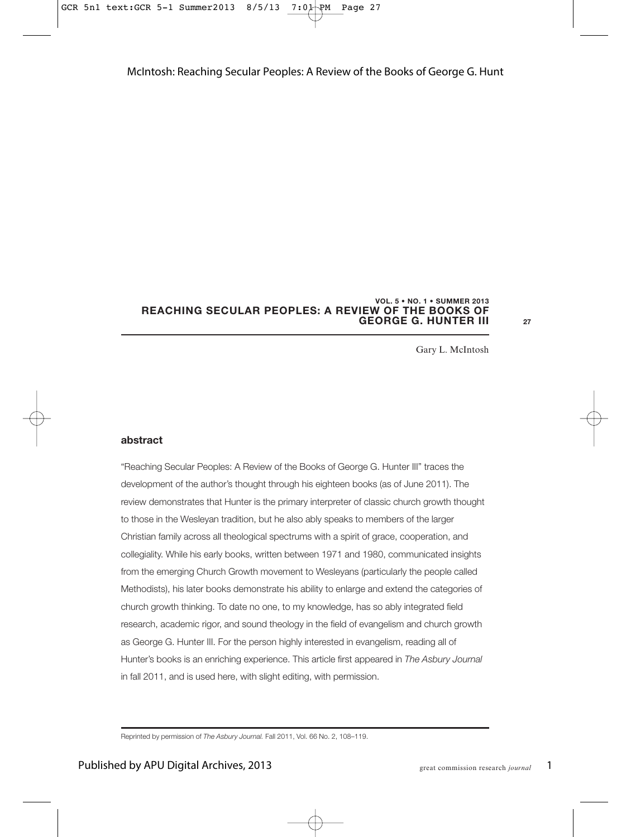#### **REACHING SECULAR PEOPLES: A REVIEW OF THE BOOKS OF GEORGE G. HUNTER III VOL. 5 • NO. 1 • SUMMER 2013**

**27**

Gary L. McIntosh

#### **abstract**

"Reaching Secular Peoples: A Review of the Books of George G. Hunter III" traces the development of the author's thought through his eighteen books (as of June 2011). The review demonstrates that Hunter is the primary interpreter of classic church growth thought to those in the Wesleyan tradition, but he also ably speaks to members of the larger Christian family across all theological spectrums with a spirit of grace, cooperation, and collegiality. While his early books, written between 1971 and 1980, communicated insights from the emerging Church Growth movement to Wesleyans (particularly the people called Methodists), his later books demonstrate his ability to enlarge and extend the categories of church growth thinking. To date no one, to my knowledge, has so ably integrated field research, academic rigor, and sound theology in the field of evangelism and church growth as George G. Hunter III. For the person highly interested in evangelism, reading all of Hunter's books is an enriching experience. This article first appeared in The Asbury Journal in fall 2011, and is used here, with slight editing, with permission.

Reprinted by permission of The Asbury Journal. Fall 2011, Vol. 66 No. 2, 108–119.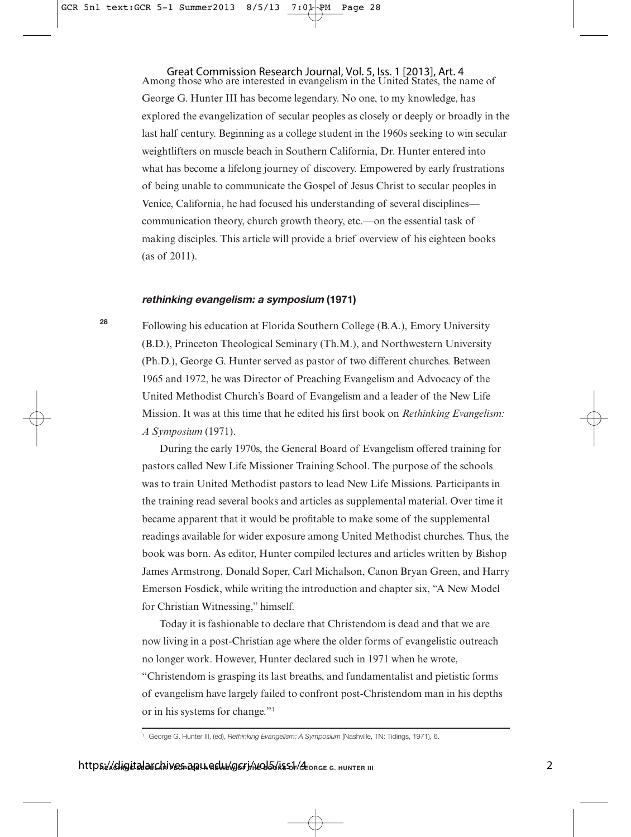Among those who are interested in evangelism in the United States, the name of George G. Hunter III has become legendary. No one, to my knowledge, has explored the evangelization of secular peoples as closely or deeply or broadly in the last half century. Beginning as a college student in the 1960s seeking to win secular weightlifters on muscle beach in Southern California, Dr. Hunter entered into what has become a lifelong journey of discovery. Empowered by early frustrations of being unable to communicate the Gospel of Jesus Christ to secular peoples in Venice, California, he had focused his understanding of several disciplines communication theory, church growth theory, etc.—on the essential task of making disciples. This article will provide a brief overview of his eighteen books (as of 2011). Great Commission Research Journal, Vol. 5, Iss. 1 [2013], Art. 4

#### **rethinking evangelism: a symposium (1971)**

Following his education at Florida Southern College (B.A.), Emory University (B.D.), Princeton Theological Seminary (Th.M.), and Northwestern University (Ph.D.), George G. Hunter served as pastor of two different churches. Between 1965 and 1972, he was Director of Preaching Evangelism and Advocacy of the United Methodist Church's Board of Evangelism and a leader of the New Life Mission. It was at this time that he edited his first book on *Rethinking Evangelism: A Symposium* (1971).

During the early 1970s, the General Board of Evangelism offered training for pastors called New Life Missioner Training School. The purpose of the schools was to train United Methodist pastors to lead New Life Missions. Participants in the training read several books and articles as supplemental material. Over time it became apparent that it would be profitable to make some of the supplemental readings available for wider exposure among United Methodist churches. Thus, the book was born. As editor, Hunter compiled lectures and articles written by Bishop James Armstrong, Donald Soper, Carl Michalson, Canon Bryan Green, and Harry Emerson Fosdick, while writing the introduction and chapter six, "A New Model for Christian Witnessing," himself.

Today it is fashionable to declare that Christendom is dead and that we are now living in a post-Christian age where the older forms of evangelistic outreach no longer work. However, Hunter declared such in 1971 when he wrote, "Christendom is grasping its last breaths, and fundamentalist and pietistic forms of evangelism have largely failed to confront post-Christendom man in his depths or in his systems for change."<sup>1</sup>

<sup>&</sup>lt;sup>1</sup> George G. Hunter III, (ed), Rethinking Evangelism: A Symposium (Nashville, TN: Tidings, 1971), 6.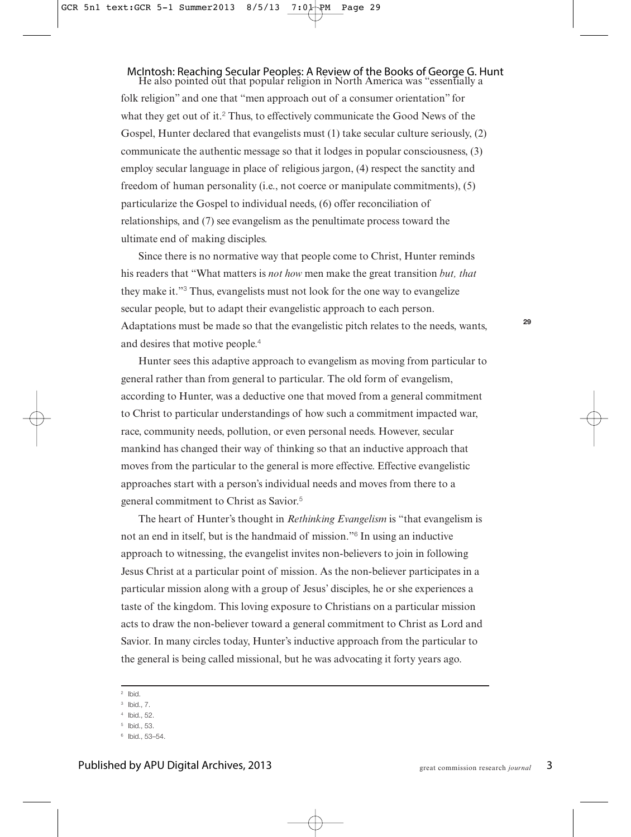#### He also pointed out that popular religion in North America was "essentially a McIntosh: Reaching Secular Peoples: A Review of the Books of George G. Hunt

folk religion" and one that "men approach out of a consumer orientation" for what they get out of it.<sup>2</sup> Thus, to effectively communicate the Good News of the Gospel, Hunter declared that evangelists must (1) take secular culture seriously, (2) communicate the authentic message so that it lodges in popular consciousness, (3) employ secular language in place of religious jargon, (4) respect the sanctity and freedom of human personality (i.e., not coerce or manipulate commitments), (5) particularize the Gospel to individual needs, (6) offer reconciliation of relationships, and (7) see evangelism as the penultimate process toward the ultimate end of making disciples.

Since there is no normative way that people come to Christ, Hunter reminds his readers that "What matters is *not how* men make the great transition *but, that* they make it."<sup>3</sup> Thus, evangelists must not look for the one way to evangelize secular people, but to adapt their evangelistic approach to each person. Adaptations must be made so that the evangelistic pitch relates to the needs, wants, and desires that motive people.<sup>4</sup>

Hunter sees this adaptive approach to evangelism as moving from particular to general rather than from general to particular. The old form of evangelism, according to Hunter, was a deductive one that moved from a general commitment to Christ to particular understandings of how such a commitment impacted war, race, community needs, pollution, or even personal needs. However, secular mankind has changed their way of thinking so that an inductive approach that moves from the particular to the general is more effective. Effective evangelistic approaches start with a person's individual needs and moves from there to a general commitment to Christ as Savior.<sup>5</sup>

The heart of Hunter's thought in *Rethinking Evangelism* is "that evangelism is not an end in itself, but is the handmaid of mission."<sup>6</sup> In using an inductive approach to witnessing, the evangelist invites non-believers to join in following Jesus Christ at a particular point of mission. As the non-believer participates in a particular mission along with a group of Jesus' disciples, he or she experiences a taste of the kingdom. This loving exposure to Christians on a particular mission acts to draw the non-believer toward a general commitment to Christ as Lord and Savior. In many circles today, Hunter's inductive approach from the particular to the general is being called missional, but he was advocating it forty years ago.

<sup>2</sup> Ibid.

- <sup>4</sup> Ibid., 52.
- <sup>5</sup> Ibid., 53.

<sup>3</sup> Ibid., 7.

<sup>6</sup> Ibid., 53–54.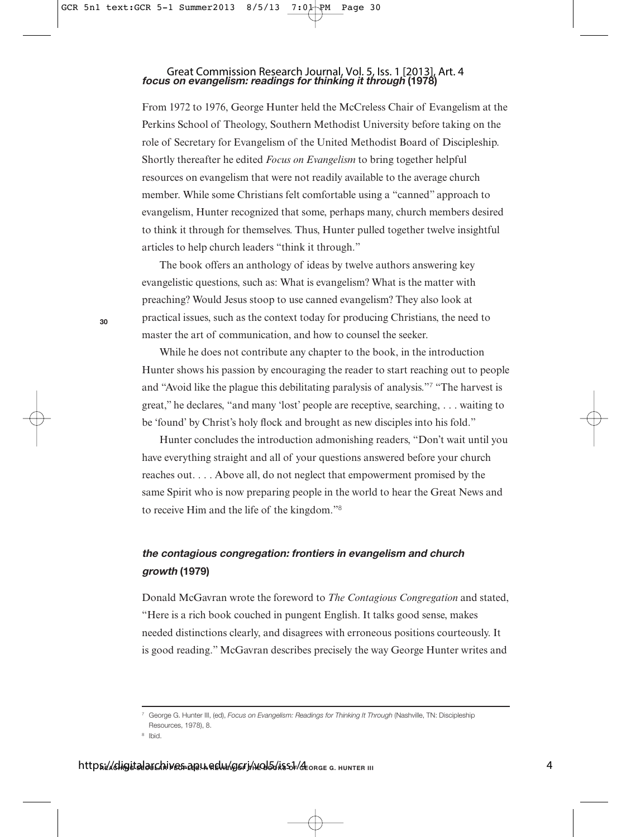#### **focus on evangelism: readings for thinking it through (1978)** Great Commission Research Journal, Vol. 5, Iss. 1 [2013], Art. 4

From 1972 to 1976, George Hunter held the McCreless Chair of Evangelism at the Perkins School of Theology, Southern Methodist University before taking on the role of Secretary for Evangelism of the United Methodist Board of Discipleship. Shortly thereafter he edited *Focus on Evangelism* to bring together helpful resources on evangelism that were not readily available to the average church member. While some Christians felt comfortable using a "canned" approach to evangelism, Hunter recognized that some, perhaps many, church members desired to think it through for themselves. Thus, Hunter pulled together twelve insightful articles to help church leaders "think it through."

The book offers an anthology of ideas by twelve authors answering key evangelistic questions, such as: What is evangelism? What is the matter with preaching? Would Jesus stoop to use canned evangelism? They also look at practical issues, such as the context today for producing Christians, the need to master the art of communication, and how to counsel the seeker.

While he does not contribute any chapter to the book, in the introduction Hunter shows his passion by encouraging the reader to start reaching out to people and "Avoid like the plague this debilitating paralysis of analysis."<sup>7</sup> "The harvest is great," he declares, "and many 'lost' people are receptive, searching, . . . waiting to be 'found' by Christ's holy flock and brought as new disciples into his fold."

Hunter concludes the introduction admonishing readers, "Don't wait until you have everything straight and all of your questions answered before your church reaches out. . . . Above all, do not neglect that empowerment promised by the same Spirit who is now preparing people in the world to hear the Great News and to receive Him and the life of the kingdom."<sup>8</sup>

## **the contagious congregation: frontiers in evangelism and church growth (1979)**

Donald McGavran wrote the foreword to *The Contagious Congregation* and stated, "Here is a rich book couched in pungent English. It talks good sense, makes needed distinctions clearly, and disagrees with erroneous positions courteously. It is good reading." McGavran describes precisely the way George Hunter writes and

**30**

<sup>&</sup>lt;sup>7</sup> George G. Hunter III, (ed), Focus on Evangelism: Readings for Thinking It Through (Nashville, TN: Discipleship Resources, 1978), 8.

<sup>8</sup> Ibid.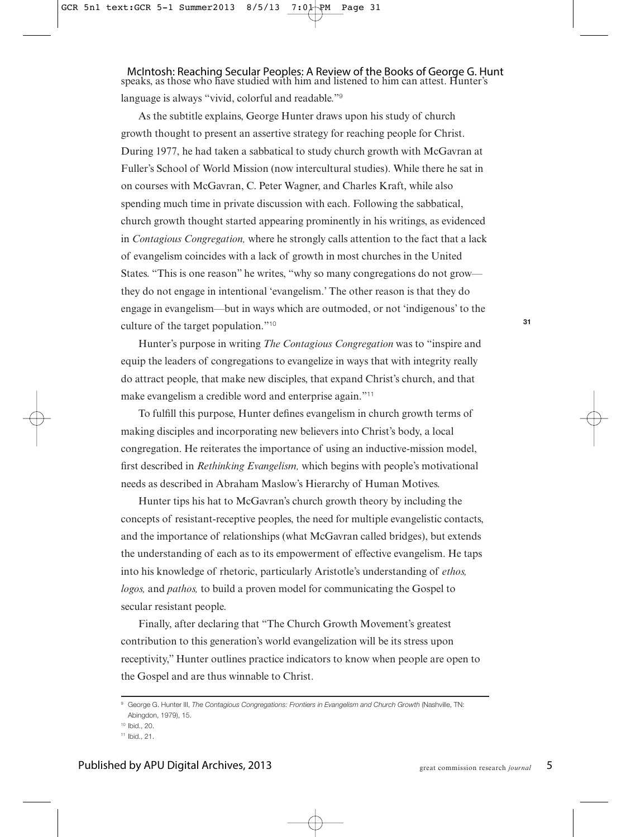speaks, as those who have studied with him and listened to him can attest. Hunter's language is always "vivid, colorful and readable."<sup>9</sup> McIntosh: Reaching Secular Peoples: A Review of the Books of George G. Hunt

As the subtitle explains, George Hunter draws upon his study of church growth thought to present an assertive strategy for reaching people for Christ. During 1977, he had taken a sabbatical to study church growth with McGavran at Fuller's School of World Mission (now intercultural studies). While there he sat in on courses with McGavran, C. Peter Wagner, and Charles Kraft, while also spending much time in private discussion with each. Following the sabbatical, church growth thought started appearing prominently in his writings, as evidenced in *Contagious Congregation,* where he strongly calls attention to the fact that a lack of evangelism coincides with a lack of growth in most churches in the United States. "This is one reason" he writes, "why so many congregations do not grow they do not engage in intentional 'evangelism.' The other reason is that they do engage in evangelism—but in ways which are outmoded, or not 'indigenous' to the culture of the target population."<sup>10</sup>

Hunter's purpose in writing *The Contagious Congregation* was to "inspire and equip the leaders of congregations to evangelize in ways that with integrity really do attract people, that make new disciples, that expand Christ's church, and that make evangelism a credible word and enterprise again."<sup>11</sup>

To fulfill this purpose, Hunter defines evangelism in church growth terms of making disciples and incorporating new believers into Christ's body, a local congregation. He reiterates the importance of using an inductive-mission model, first described in *Rethinking Evangelism,* which begins with people's motivational needs as described in Abraham Maslow's Hierarchy of Human Motives.

Hunter tips his hat to McGavran's church growth theory by including the concepts of resistant-receptive peoples, the need for multiple evangelistic contacts, and the importance of relationships (what McGavran called bridges), but extends the understanding of each as to its empowerment of effective evangelism. He taps into his knowledge of rhetoric, particularly Aristotle's understanding of *ethos, logos,* and *pathos,* to build a proven model for communicating the Gospel to secular resistant people.

Finally, after declaring that "The Church Growth Movement's greatest contribution to this generation's world evangelization will be its stress upon receptivity," Hunter outlines practice indicators to know when people are open to the Gospel and are thus winnable to Christ.

<sup>&</sup>lt;sup>9</sup> George G. Hunter III, The Contagious Congregations: Frontiers in Evangelism and Church Growth (Nashville, TN: Abingdon, 1979), 15.

<sup>10</sup> Ibid., 20.

<sup>11</sup> Ibid., 21.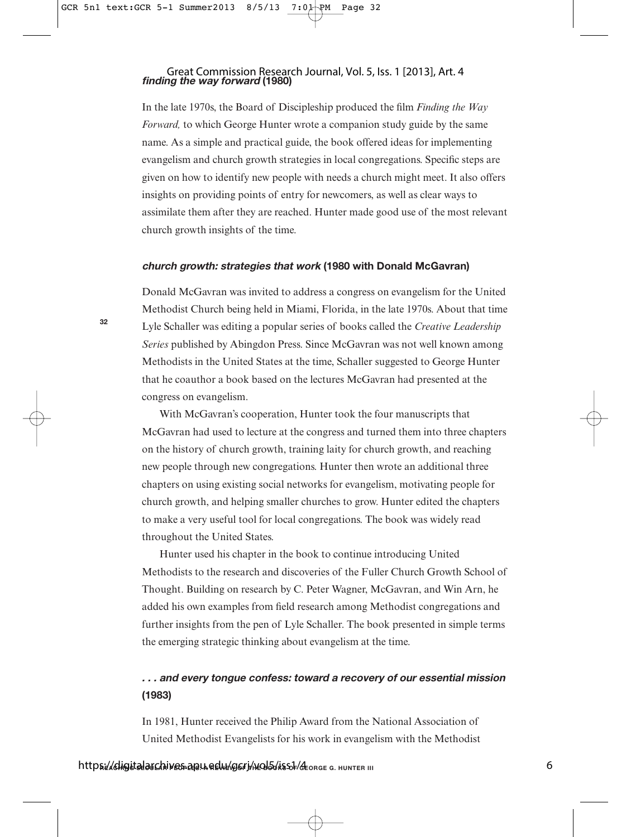#### **finding the way forward (1980)** Great Commission Research Journal, Vol. 5, Iss. 1 [2013], Art. 4

In the late 1970s, the Board of Discipleship produced the film *Finding the Way Forward,* to which George Hunter wrote a companion study guide by the same name. As a simple and practical guide, the book offered ideas for implementing evangelism and church growth strategies in local congregations. Specific steps are given on how to identify new people with needs a church might meet. It also offers insights on providing points of entry for newcomers, as well as clear ways to assimilate them after they are reached. Hunter made good use of the most relevant church growth insights of the time.

#### **church growth: strategies that work (1980 with Donald McGavran)**

Donald McGavran was invited to address a congress on evangelism for the United Methodist Church being held in Miami, Florida, in the late 1970s. About that time Lyle Schaller was editing a popular series of books called the *Creative Leadership Series* published by Abingdon Press. Since McGavran was not well known among Methodists in the United States at the time, Schaller suggested to George Hunter that he coauthor a book based on the lectures McGavran had presented at the congress on evangelism.

With McGavran's cooperation, Hunter took the four manuscripts that McGavran had used to lecture at the congress and turned them into three chapters on the history of church growth, training laity for church growth, and reaching new people through new congregations. Hunter then wrote an additional three chapters on using existing social networks for evangelism, motivating people for church growth, and helping smaller churches to grow. Hunter edited the chapters to make a very useful tool for local congregations. The book was widely read throughout the United States.

Hunter used his chapter in the book to continue introducing United Methodists to the research and discoveries of the Fuller Church Growth School of Thought. Building on research by C. Peter Wagner, McGavran, and Win Arn, he added his own examples from field research among Methodist congregations and further insights from the pen of Lyle Schaller. The book presented in simple terms the emerging strategic thinking about evangelism at the time.

## **. . . and every tongue confess: toward a recovery of our essential mission (1983)**

In 1981, Hunter received the Philip Award from the National Association of United Methodist Evangelists for his work in evangelism with the Methodist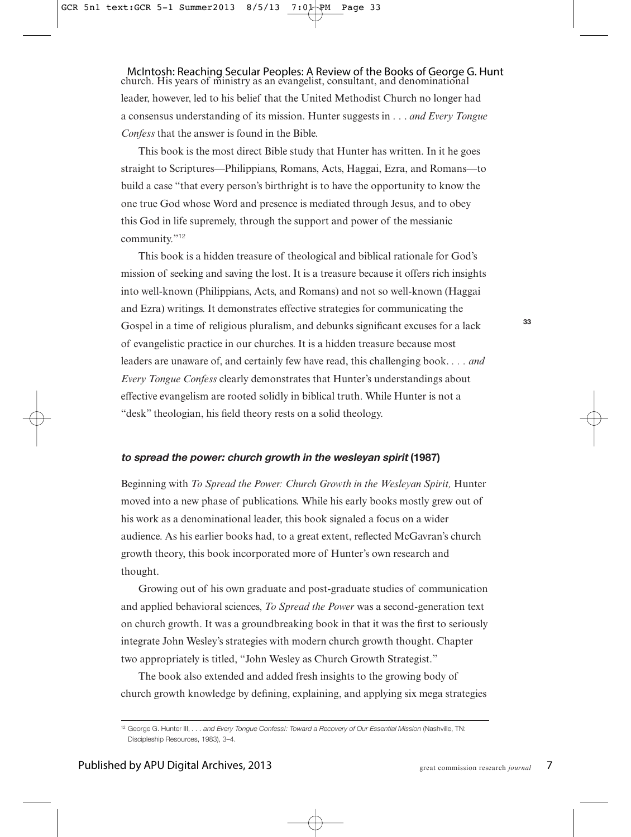church. His years of ministry as an evangelist, consultant, and denominational leader, however, led to his belief that the United Methodist Church no longer had a consensus understanding of its mission. Hunter suggests in . . . *and Every Tongue Confess* that the answer is found in the Bible. McIntosh: Reaching Secular Peoples: A Review of the Books of George G. Hunt

This book is the most direct Bible study that Hunter has written. In it he goes straight to Scriptures—Philippians, Romans, Acts, Haggai, Ezra, and Romans—to build a case "that every person's birthright is to have the opportunity to know the one true God whose Word and presence is mediated through Jesus, and to obey this God in life supremely, through the support and power of the messianic community."<sup>12</sup>

This book is a hidden treasure of theological and biblical rationale for God's mission of seeking and saving the lost. It is a treasure because it offers rich insights into well-known (Philippians, Acts, and Romans) and not so well-known (Haggai and Ezra) writings. It demonstrates effective strategies for communicating the Gospel in a time of religious pluralism, and debunks significant excuses for a lack of evangelistic practice in our churches. It is a hidden treasure because most leaders are unaware of, and certainly few have read, this challenging book. *. . . and Every Tongue Confess* clearly demonstrates that Hunter's understandings about effective evangelism are rooted solidly in biblical truth. While Hunter is not a "desk" theologian, his field theory rests on a solid theology.

#### **to spread the power: church growth in the wesleyan spirit (1987)**

Beginning with *To Spread the Power: Church Growth in the Wesleyan Spirit,* Hunter moved into a new phase of publications. While his early books mostly grew out of his work as a denominational leader, this book signaled a focus on a wider audience. As his earlier books had, to a great extent, reflected McGavran's church growth theory, this book incorporated more of Hunter's own research and thought.

Growing out of his own graduate and post-graduate studies of communication and applied behavioral sciences, *To Spread the Power* was a second-generation text on church growth. It was a groundbreaking book in that it was the first to seriously integrate John Wesley's strategies with modern church growth thought. Chapter two appropriately is titled, "John Wesley as Church Growth Strategist."

The book also extended and added fresh insights to the growing body of church growth knowledge by defining, explaining, and applying six mega strategies

<sup>12</sup> George G. Hunter III, . . . and Every Tongue Confess!: Toward a Recovery of Our Essential Mission (Nashville, TN: Discipleship Resources, 1983), 3–4.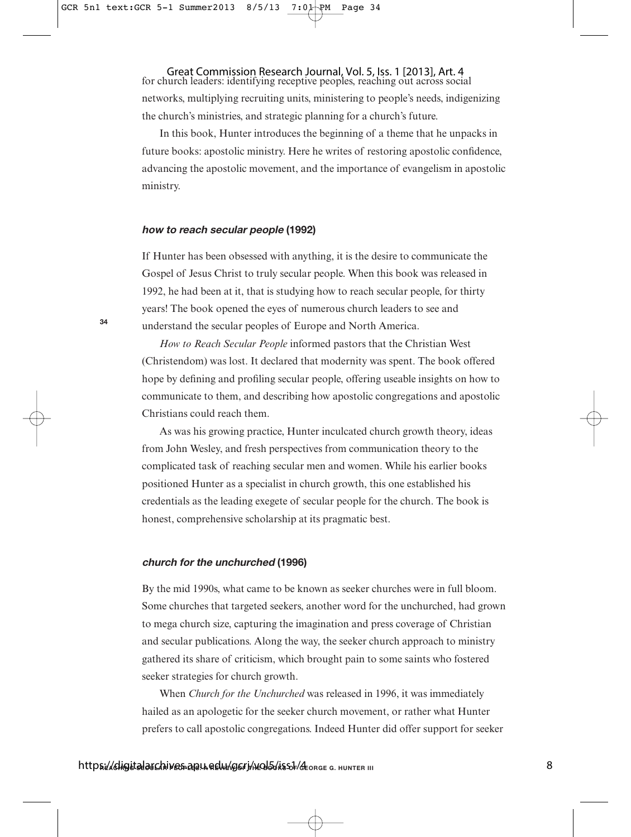Great Commission Research Journal, Vol. 5, Iss. 1 [2013], Art. 4<br>for church leaders: identifying receptive peoples, reaching out across social networks, multiplying recruiting units, ministering to people's needs, indigenizing the church's ministries, and strategic planning for a church's future.

In this book, Hunter introduces the beginning of a theme that he unpacks in future books: apostolic ministry. Here he writes of restoring apostolic confidence, advancing the apostolic movement, and the importance of evangelism in apostolic ministry.

#### **how to reach secular people (1992)**

**34**

If Hunter has been obsessed with anything, it is the desire to communicate the Gospel of Jesus Christ to truly secular people. When this book was released in 1992, he had been at it, that is studying how to reach secular people, for thirty years! The book opened the eyes of numerous church leaders to see and understand the secular peoples of Europe and North America.

*How to Reach Secular People* informed pastors that the Christian West (Christendom) was lost. It declared that modernity was spent. The book offered hope by defining and profiling secular people, offering useable insights on how to communicate to them, and describing how apostolic congregations and apostolic Christians could reach them.

As was his growing practice, Hunter inculcated church growth theory, ideas from John Wesley, and fresh perspectives from communication theory to the complicated task of reaching secular men and women. While his earlier books positioned Hunter as a specialist in church growth, this one established his credentials as the leading exegete of secular people for the church. The book is honest, comprehensive scholarship at its pragmatic best.

#### **church for the unchurched (1996)**

By the mid 1990s, what came to be known as seeker churches were in full bloom. Some churches that targeted seekers, another word for the unchurched, had grown to mega church size, capturing the imagination and press coverage of Christian and secular publications. Along the way, the seeker church approach to ministry gathered its share of criticism, which brought pain to some saints who fostered seeker strategies for church growth.

When *Church for the Unchurched* was released in 1996, it was immediately hailed as an apologetic for the seeker church movement, or rather what Hunter prefers to call apostolic congregations. Indeed Hunter did offer support for seeker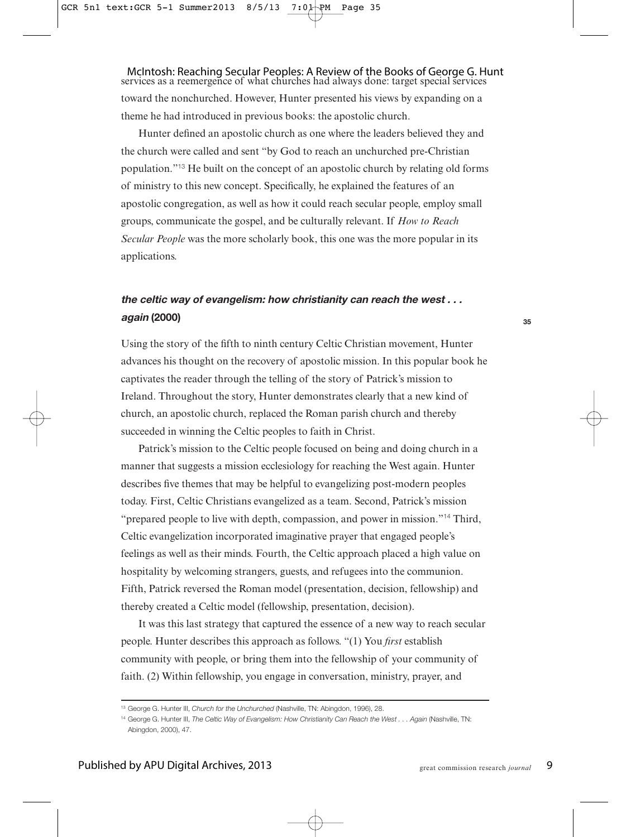services as a reemergence of what churches had always done: target special services toward the nonchurched. However, Hunter presented his views by expanding on a theme he had introduced in previous books: the apostolic church. McIntosh: Reaching Secular Peoples: A Review of the Books of George G. Hunt

Hunter defined an apostolic church as one where the leaders believed they and the church were called and sent "by God to reach an unchurched pre-Christian population."<sup>13</sup> He built on the concept of an apostolic church by relating old forms of ministry to this new concept. Specifically, he explained the features of an apostolic congregation, as well as how it could reach secular people, employ small groups, communicate the gospel, and be culturally relevant. If *How to Reach Secular People* was the more scholarly book, this one was the more popular in its applications.

### **the celtic way of evangelism: how christianity can reach the west . . . again (2000)**

Using the story of the fifth to ninth century Celtic Christian movement, Hunter advances his thought on the recovery of apostolic mission. In this popular book he captivates the reader through the telling of the story of Patrick's mission to Ireland. Throughout the story, Hunter demonstrates clearly that a new kind of church, an apostolic church, replaced the Roman parish church and thereby succeeded in winning the Celtic peoples to faith in Christ.

Patrick's mission to the Celtic people focused on being and doing church in a manner that suggests a mission ecclesiology for reaching the West again. Hunter describes five themes that may be helpful to evangelizing post-modern peoples today. First, Celtic Christians evangelized as a team. Second, Patrick's mission "prepared people to live with depth, compassion, and power in mission."<sup>14</sup> Third, Celtic evangelization incorporated imaginative prayer that engaged people's feelings as well as their minds. Fourth, the Celtic approach placed a high value on hospitality by welcoming strangers, guests, and refugees into the communion. Fifth, Patrick reversed the Roman model (presentation, decision, fellowship) and thereby created a Celtic model (fellowship, presentation, decision).

It was this last strategy that captured the essence of a new way to reach secular people. Hunter describes this approach as follows. "(1) You *first* establish community with people, or bring them into the fellowship of your community of faith. (2) Within fellowship, you engage in conversation, ministry, prayer, and

<sup>&</sup>lt;sup>13</sup> George G. Hunter III, Church for the Unchurched (Nashville, TN: Abingdon, 1996), 28.

<sup>&</sup>lt;sup>14</sup> George G. Hunter III, The Celtic Way of Evangelism: How Christianity Can Reach the West . . . Again (Nashville, TN: Abingdon, 2000), 47.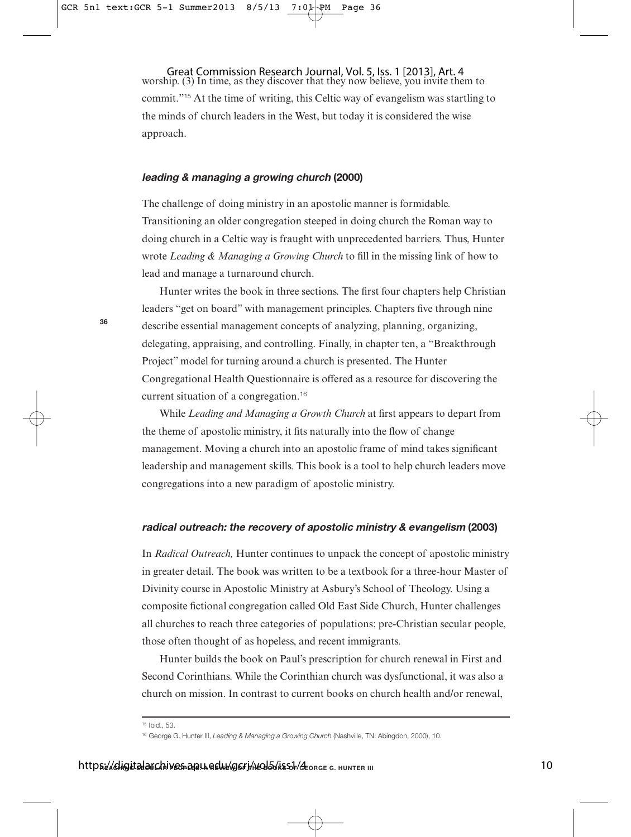worship. (3) In time, as they discover that they now believe, you invite them to commit."<sup>15</sup> At the time of writing, this Celtic way of evangelism was startling to the minds of church leaders in the West, but today it is considered the wise approach. Great Commission Research Journal, Vol. 5, Iss. 1 [2013], Art. 4

#### **leading & managing a growing church (2000)**

The challenge of doing ministry in an apostolic manner is formidable. Transitioning an older congregation steeped in doing church the Roman way to doing church in a Celtic way is fraught with unprecedented barriers. Thus, Hunter wrote *Leading & Managing a Growing Church* to fill in the missing link of how to lead and manage a turnaround church.

Hunter writes the book in three sections. The first four chapters help Christian leaders "get on board" with management principles. Chapters five through nine describe essential management concepts of analyzing, planning, organizing, delegating, appraising, and controlling. Finally, in chapter ten, a "Breakthrough Project" model for turning around a church is presented. The Hunter Congregational Health Questionnaire is offered as a resource for discovering the current situation of a congregation.<sup>16</sup>

While *Leading and Managing a Growth Church* at first appears to depart from the theme of apostolic ministry, it fits naturally into the flow of change management. Moving a church into an apostolic frame of mind takes significant leadership and management skills. This book is a tool to help church leaders move congregations into a new paradigm of apostolic ministry.

#### **radical outreach: the recovery of apostolic ministry & evangelism (2003)**

In *Radical Outreach,* Hunter continues to unpack the concept of apostolic ministry in greater detail. The book was written to be a textbook for a three-hour Master of Divinity course in Apostolic Ministry at Asbury's School of Theology. Using a composite fictional congregation called Old East Side Church, Hunter challenges all churches to reach three categories of populations: pre-Christian secular people, those often thought of as hopeless, and recent immigrants.

Hunter builds the book on Paul's prescription for church renewal in First and Second Corinthians. While the Corinthian church was dysfunctional, it was also a church on mission. In contrast to current books on church health and/or renewal,

<sup>15</sup> Ibid., 53.

<sup>16</sup> George G. Hunter III, Leading & Managing a Growing Church (Nashville, TN: Abingdon, 2000), 10.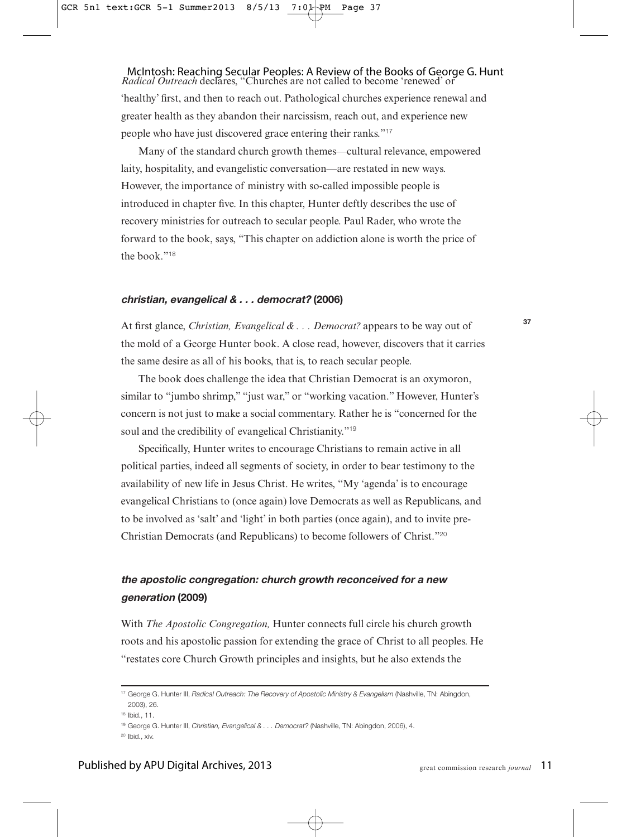#### *Radical Outreach* declares, "Churches are not called to become 'renewed' or McIntosh: Reaching Secular Peoples: A Review of the Books of George G. Hunt

'healthy' first, and then to reach out. Pathological churches experience renewal and greater health as they abandon their narcissism, reach out, and experience new people who have just discovered grace entering their ranks."<sup>17</sup>

Many of the standard church growth themes—cultural relevance, empowered laity, hospitality, and evangelistic conversation—are restated in new ways. However, the importance of ministry with so-called impossible people is introduced in chapter five. In this chapter, Hunter deftly describes the use of recovery ministries for outreach to secular people. Paul Rader, who wrote the forward to the book, says, "This chapter on addiction alone is worth the price of the book."<sup>18</sup>

#### **christian, evangelical & . . . democrat? (2006)**

At first glance, *Christian, Evangelical & . . . Democrat?* appears to be way out of the mold of a George Hunter book. A close read, however, discovers that it carries the same desire as all of his books, that is, to reach secular people.

The book does challenge the idea that Christian Democrat is an oxymoron, similar to "jumbo shrimp," "just war," or "working vacation." However, Hunter's concern is not just to make a social commentary. Rather he is "concerned for the soul and the credibility of evangelical Christianity."<sup>19</sup>

Specifically, Hunter writes to encourage Christians to remain active in all political parties, indeed all segments of society, in order to bear testimony to the availability of new life in Jesus Christ. He writes, "My 'agenda' is to encourage evangelical Christians to (once again) love Democrats as well as Republicans, and to be involved as 'salt' and 'light' in both parties (once again), and to invite pre-Christian Democrats (and Republicans) to become followers of Christ."<sup>20</sup>

## **the apostolic congregation: church growth reconceived for a new generation (2009)**

With *The Apostolic Congregation,* Hunter connects full circle his church growth roots and his apostolic passion for extending the grace of Christ to all peoples. He "restates core Church Growth principles and insights, but he also extends the

<sup>17</sup> George G. Hunter III, Radical Outreach: The Recovery of Apostolic Ministry & Evangelism (Nashville, TN: Abingdon, 2003), 26.

<sup>18</sup> Ibid., 11.

<sup>19</sup> George G. Hunter III, Christian, Evangelical & . . . Democrat? (Nashville, TN: Abingdon, 2006), 4.

<sup>20</sup> Ibid., xiv.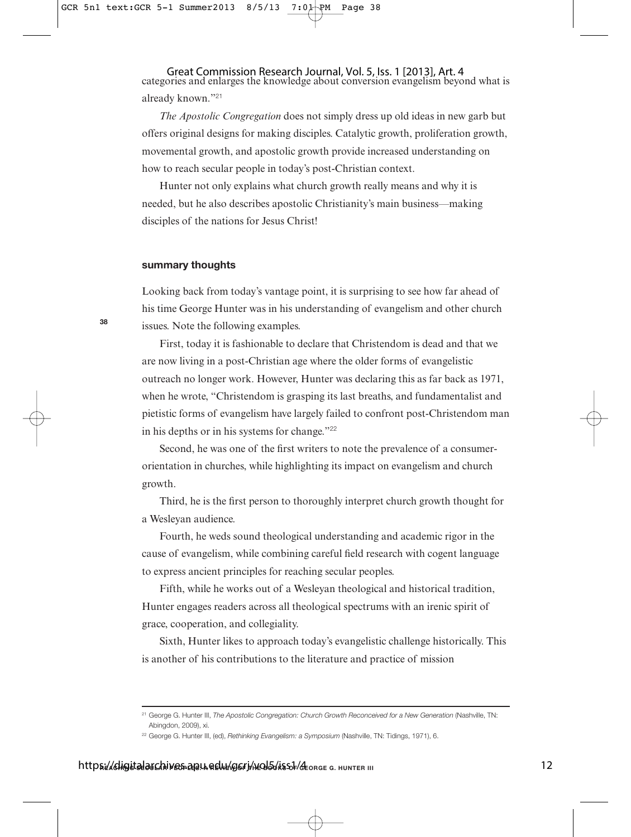categories and enlarges the knowledge about conversion evangelism beyond what is already known."<sup>21</sup> Great Commission Research Journal, Vol. 5, Iss. 1 [2013], Art. 4

*The Apostolic Congregation* does not simply dress up old ideas in new garb but offers original designs for making disciples. Catalytic growth, proliferation growth, movemental growth, and apostolic growth provide increased understanding on how to reach secular people in today's post-Christian context.

Hunter not only explains what church growth really means and why it is needed, but he also describes apostolic Christianity's main business—making disciples of the nations for Jesus Christ!

#### **summary thoughts**

**38**

Looking back from today's vantage point, it is surprising to see how far ahead of his time George Hunter was in his understanding of evangelism and other church issues. Note the following examples.

First, today it is fashionable to declare that Christendom is dead and that we are now living in a post-Christian age where the older forms of evangelistic outreach no longer work. However, Hunter was declaring this as far back as 1971, when he wrote, "Christendom is grasping its last breaths, and fundamentalist and pietistic forms of evangelism have largely failed to confront post-Christendom man in his depths or in his systems for change."<sup>22</sup>

Second, he was one of the first writers to note the prevalence of a consumerorientation in churches, while highlighting its impact on evangelism and church growth.

Third, he is the first person to thoroughly interpret church growth thought for a Wesleyan audience.

Fourth, he weds sound theological understanding and academic rigor in the cause of evangelism, while combining careful field research with cogent language to express ancient principles for reaching secular peoples.

Fifth, while he works out of a Wesleyan theological and historical tradition, Hunter engages readers across all theological spectrums with an irenic spirit of grace, cooperation, and collegiality.

Sixth, Hunter likes to approach today's evangelistic challenge historically. This is another of his contributions to the literature and practice of mission

<sup>&</sup>lt;sup>21</sup> George G. Hunter III, The Apostolic Congregation: Church Growth Reconceived for a New Generation (Nashville, TN: Abingdon, 2009), xi.

<sup>&</sup>lt;sup>22</sup> George G. Hunter III, (ed), Rethinking Evangelism: a Symposium (Nashville, TN: Tidings, 1971), 6.